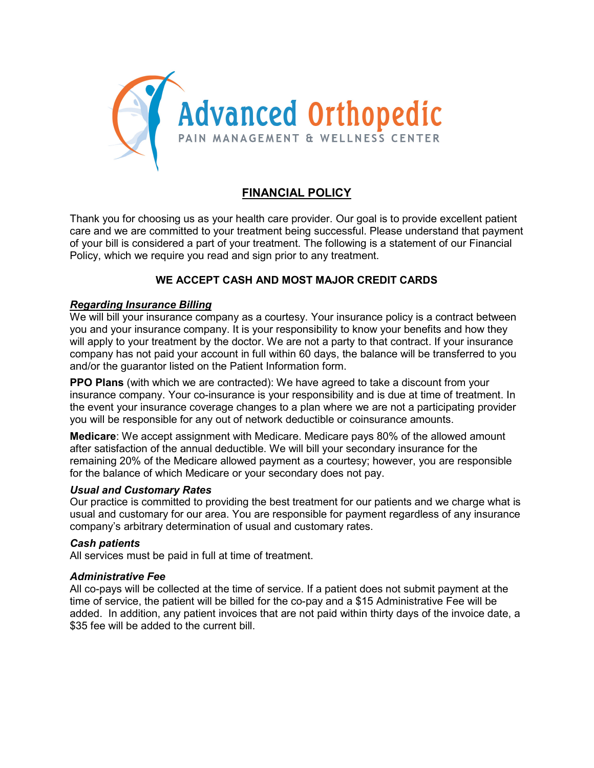

# FINANCIAL POLICY

Thank you for choosing us as your health care provider. Our goal is to provide excellent patient care and we are committed to your treatment being successful. Please understand that payment of your bill is considered a part of your treatment. The following is a statement of our Financial Policy, which we require you read and sign prior to any treatment.

## WE ACCEPT CASH AND MOST MAJOR CREDIT CARDS

### Regarding Insurance Billing

We will bill your insurance company as a courtesy. Your insurance policy is a contract between you and your insurance company. It is your responsibility to know your benefits and how they will apply to your treatment by the doctor. We are not a party to that contract. If your insurance company has not paid your account in full within 60 days, the balance will be transferred to you and/or the guarantor listed on the Patient Information form.

PPO Plans (with which we are contracted): We have agreed to take a discount from your insurance company. Your co-insurance is your responsibility and is due at time of treatment. In the event your insurance coverage changes to a plan where we are not a participating provider you will be responsible for any out of network deductible or coinsurance amounts.

Medicare: We accept assignment with Medicare. Medicare pays 80% of the allowed amount after satisfaction of the annual deductible. We will bill your secondary insurance for the remaining 20% of the Medicare allowed payment as a courtesy; however, you are responsible for the balance of which Medicare or your secondary does not pay.

#### Usual and Customary Rates

Our practice is committed to providing the best treatment for our patients and we charge what is usual and customary for our area. You are responsible for payment regardless of any insurance company's arbitrary determination of usual and customary rates.

### Cash patients

All services must be paid in full at time of treatment.

#### Administrative Fee

All co-pays will be collected at the time of service. If a patient does not submit payment at the time of service, the patient will be billed for the co-pay and a \$15 Administrative Fee will be added. In addition, any patient invoices that are not paid within thirty days of the invoice date, a \$35 fee will be added to the current bill.